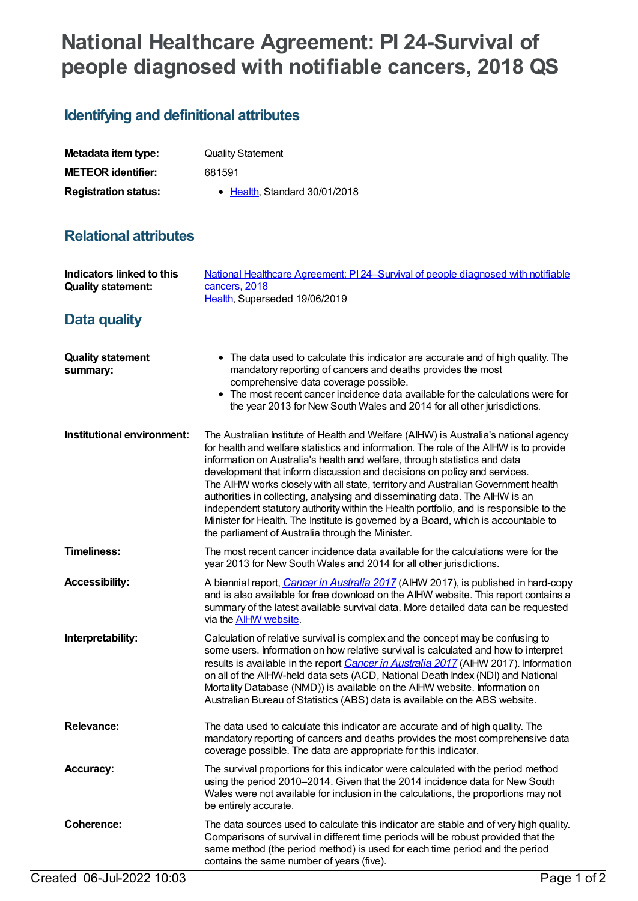# **National Healthcare Agreement: PI 24-Survival of people diagnosed with notifiable cancers, 2018 QS**

## **Identifying and definitional attributes**

| Metadata item type:         | <b>Quality Statement</b>      |
|-----------------------------|-------------------------------|
| <b>METEOR identifier:</b>   | 681591                        |
| <b>Registration status:</b> | • Health, Standard 30/01/2018 |

### **Relational attributes**

| Indicators linked to this<br><b>Quality statement:</b> | National Healthcare Agreement: PI 24-Survival of people diagnosed with notifiable<br>cancers, 2018<br>Health, Superseded 19/06/2019                                                                                                                                                                                                                                                                                                                                                                                                                                                                                                                                                                                                              |
|--------------------------------------------------------|--------------------------------------------------------------------------------------------------------------------------------------------------------------------------------------------------------------------------------------------------------------------------------------------------------------------------------------------------------------------------------------------------------------------------------------------------------------------------------------------------------------------------------------------------------------------------------------------------------------------------------------------------------------------------------------------------------------------------------------------------|
| Data quality                                           |                                                                                                                                                                                                                                                                                                                                                                                                                                                                                                                                                                                                                                                                                                                                                  |
| <b>Quality statement</b><br>summary:                   | • The data used to calculate this indicator are accurate and of high quality. The<br>mandatory reporting of cancers and deaths provides the most<br>comprehensive data coverage possible.<br>• The most recent cancer incidence data available for the calculations were for<br>the year 2013 for New South Wales and 2014 for all other jurisdictions.                                                                                                                                                                                                                                                                                                                                                                                          |
| Institutional environment:                             | The Australian Institute of Health and Welfare (AIHW) is Australia's national agency<br>for health and welfare statistics and information. The role of the AIHW is to provide<br>information on Australia's health and welfare, through statistics and data<br>development that inform discussion and decisions on policy and services.<br>The AIHW works closely with all state, territory and Australian Government health<br>authorities in collecting, analysing and disseminating data. The AIHW is an<br>independent statutory authority within the Health portfolio, and is responsible to the<br>Minister for Health. The Institute is governed by a Board, which is accountable to<br>the parliament of Australia through the Minister. |
| <b>Timeliness:</b>                                     | The most recent cancer incidence data available for the calculations were for the<br>year 2013 for New South Wales and 2014 for all other jurisdictions.                                                                                                                                                                                                                                                                                                                                                                                                                                                                                                                                                                                         |
| <b>Accessibility:</b>                                  | A biennial report, <i>Cancer in Australia 2017</i> (AIHW 2017), is published in hard-copy<br>and is also available for free download on the AIHW website. This report contains a<br>summary of the latest available survival data. More detailed data can be requested<br>via the <b>AIHW</b> website.                                                                                                                                                                                                                                                                                                                                                                                                                                           |
| Interpretability:                                      | Calculation of relative survival is complex and the concept may be confusing to<br>some users. Information on how relative survival is calculated and how to interpret<br>results is available in the report Cancer in Australia 2017 (AIHW 2017). Information<br>on all of the AIHW-held data sets (ACD, National Death Index (NDI) and National<br>Mortality Database (NMD)) is available on the AIHW website. Information on<br>Australian Bureau of Statistics (ABS) data is available on the ABS website.                                                                                                                                                                                                                                   |
| <b>Relevance:</b>                                      | The data used to calculate this indicator are accurate and of high quality. The<br>mandatory reporting of cancers and deaths provides the most comprehensive data<br>coverage possible. The data are appropriate for this indicator.                                                                                                                                                                                                                                                                                                                                                                                                                                                                                                             |
| <b>Accuracy:</b>                                       | The survival proportions for this indicator were calculated with the period method<br>using the period 2010-2014. Given that the 2014 incidence data for New South<br>Wales were not available for inclusion in the calculations, the proportions may not<br>be entirely accurate.                                                                                                                                                                                                                                                                                                                                                                                                                                                               |
| <b>Coherence:</b>                                      | The data sources used to calculate this indicator are stable and of very high quality.<br>Comparisons of survival in different time periods will be robust provided that the<br>same method (the period method) is used for each time period and the period<br>contains the same number of years (five).                                                                                                                                                                                                                                                                                                                                                                                                                                         |
| Created 06-Jul-2022 10:03                              | Page 1 of 2                                                                                                                                                                                                                                                                                                                                                                                                                                                                                                                                                                                                                                                                                                                                      |